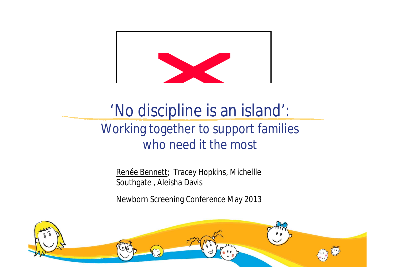

#### 'No discipline is an island': Working together to support families who need it the most

Renée Bennett; Tracey Hopkins, Michellle Southgate , Aleisha Davis

Newborn Screening Conference May 2013

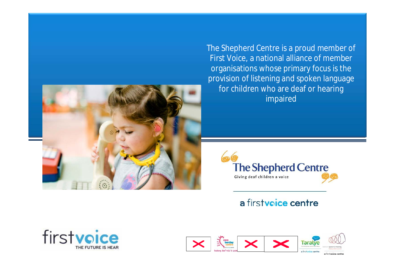

The Shepherd Centre is a proud member of First Voice, a national alliance of member organisations whose primary focus is the provision of listening and spoken language for children who are deaf or hearing impaired



#### a firstvoice centre



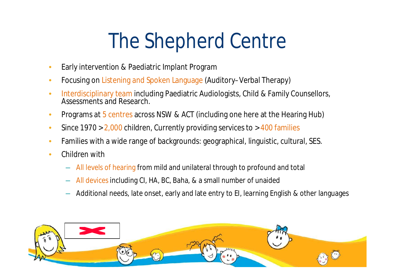# The Shepherd Centre

- Early intervention & Paediatric Implant Program
- Focusing on Listening and Spoken Language (Auditory–Verbal Therapy)
- Interdisciplinary team including Paediatric Audiologists, Child & Family Counsellors, Assessments and Research.
- Programs at 5 centres across NSW & ACT (including one here at the Hearing Hub)
- Since  $1970 > 2,000$  children, Currently providing services to  $> 400$  families
- Families with a wide range of backgrounds: geographical, linguistic, cultural, SES.
- Children with
	- All levels of hearing from mild and unilateral through to profound and total
	- All devices including CI, HA, BC, Baha, & a small number of unaided
	- Additional needs, late onset, early and late entry to EI, learning English & other languages

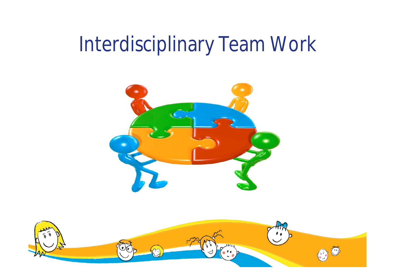#### Interdisciplinary Team Work



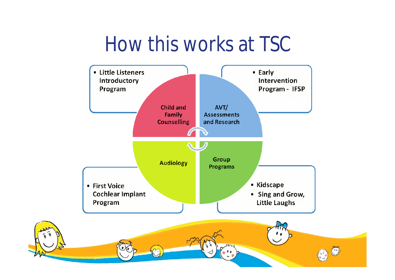#### How this works at TSC



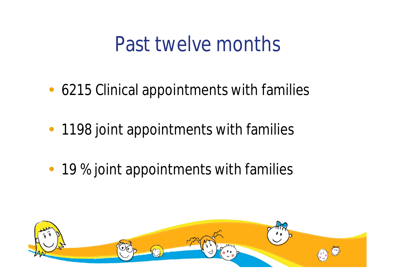#### Past twelve months

- 6215 Clinical appointments with families
- 1198 joint appointments with families
- 19 % joint appointments with families

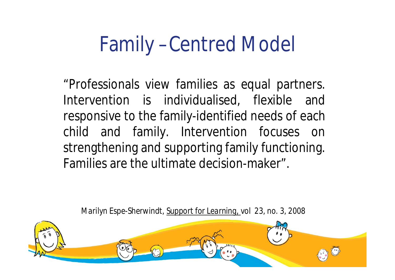#### Family –Centred Model

"Professionals view families as equal partners. Intervention is individualised, flexible and responsive to the family-identified needs of each child and family. Intervention focuses on strengthening and supporting family functioning. Families are the ultimate decision-maker".

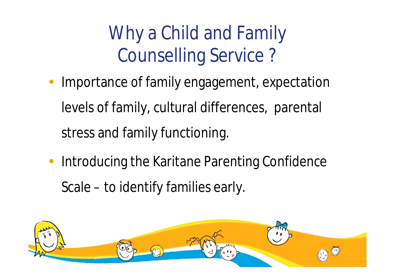#### Why a Child and Family Counselling Service ?

- Importance of family engagement, expectation levels of family, cultural differences, parental stress and family functioning.
- Introducing the Karitane Parenting Confidence Scale – to identify families early.

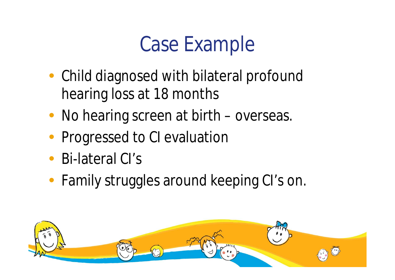### Case Example

- Child diagnosed with bilateral profound hearing loss at 18 months
- No hearing screen at birth overseas.
- Progressed to CI evaluation
- Bi-lateral CI's
- Family struggles around keeping CI's on.

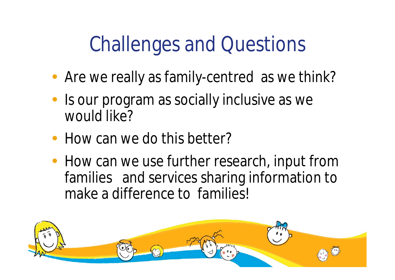# Challenges and Questions

- Are we really as family-centred as we think?
- Is our program as socially inclusive as we would like?
- How can we do this better?
- How can we use further research, input from families and services sharing information to make a difference to families!

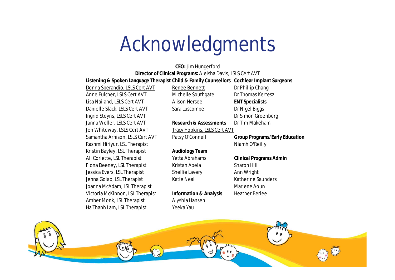#### Acknowledgments

**Listening & Spoken Language Therapist: Child & Family Counsellors Cochlear Implant Surgeons Director of Clinical Programs:** Aleisha Davis, LSLS Cert AVT **CEO:** Jim Hungerford

Anne Fulcher, LSLS Cert AVT Michelle Southgate Dr Thomas Kertesz Lisa Nailand, LSLS Cert AVT Alison Hersee **ENT Specialists** Danielle Slack, LSLS Cert AVT Sara Luscombe Dr Nigel Biggs Ingrid Steyns, LSLS Cert AVT **Dr Simon Greenberg** Janna Weller, LSLS Cert AVT **Research & Assessments** Dr Tim Makeham Jen Whiteway, LSLS Cert AVT Tracy Hopkins, LSLS Cert AVT Samantha Arnison, LSLS Cert AVT Patsy O'Connell **Group Programs/Early Education** Rashmi Hiriyur, LSL Therapist Niamh O'Reilly Kristin Bayley, LSL Therapist **Audiology Team** Ali Corlette, LSL Therapist Yetta Abrahams **Clinical Programs Admin** Fiona Deeney, LSL Therapist Kristan Abela Sharon Hill Jessica Evers, LSL Therapist Shellie Lavery Ann Wright Jenna Golab, LSL Therapist Katie Neal Katherine Saunders Joanna McAdam, LSL Therapist Marian Marlene Aoun Victoria McKinnon, LSL Therapist **Information & Analysis** Heather Berlee Amber Monk, LSL Therapist Alyshia Hansen Ha Thanh Lam, LSL Therapist Yeeka Yau

Donna Sperandio, LSLS Cert AVT Renee Bennett Dr Phillip Chang